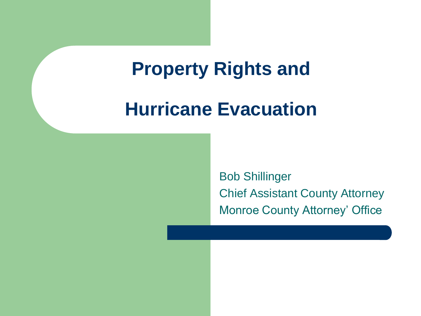#### **Property Rights and**

#### **Hurricane Evacuation**

Bob Shillinger Chief Assistant County Attorney Monroe County Attorney' Office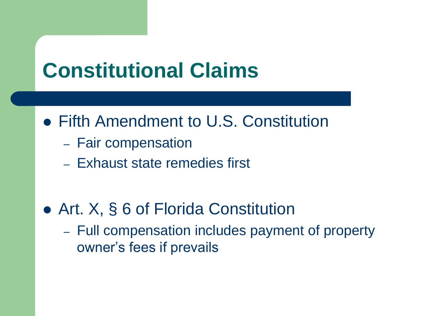## **Constitutional Claims**

- Fifth Amendment to U.S. Constitution
	- Fair compensation
	- Exhaust state remedies first
- Art. X, § 6 of Florida Constitution
	- Full compensation includes payment of property owner's fees if prevails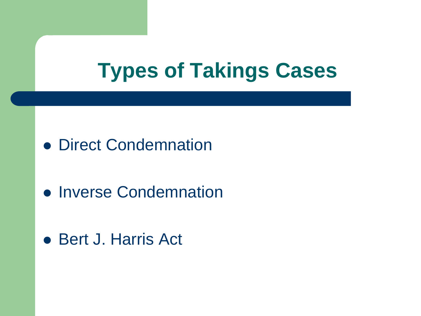## **Types of Takings Cases**

- **Direct Condemnation**
- **Inverse Condemnation**
- Bert J. Harris Act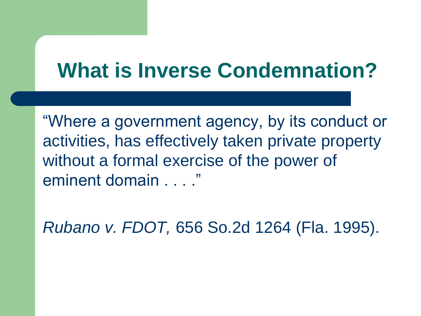## **What is Inverse Condemnation?**

"Where a government agency, by its conduct or activities, has effectively taken private property without a formal exercise of the power of eminent domain . . . ."

*Rubano v. FDOT,* 656 So.2d 1264 (Fla. 1995).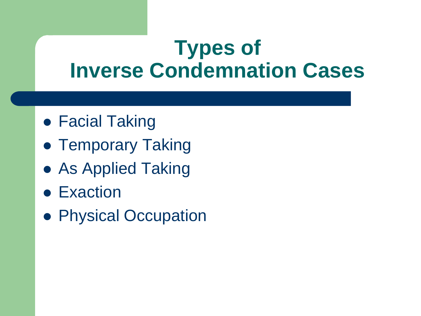#### **Types of Inverse Condemnation Cases**

- Facial Taking
- **Temporary Taking**
- As Applied Taking
- **Exaction**
- **Physical Occupation**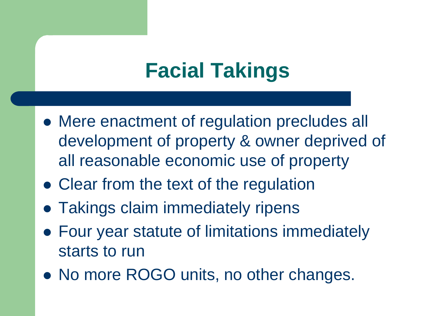# **Facial Takings**

- Mere enactment of regulation precludes all development of property & owner deprived of all reasonable economic use of property
- Clear from the text of the regulation
- **Takings claim immediately ripens**
- Four year statute of limitations immediately starts to run
- No more ROGO units, no other changes.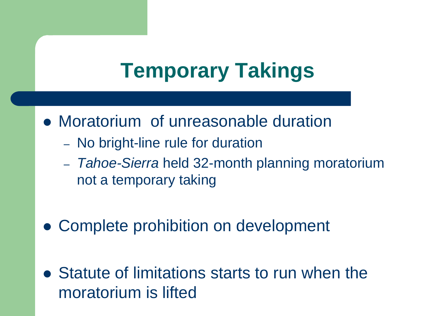# **Temporary Takings**

- Moratorium of unreasonable duration
	- No bright-line rule for duration
	- *Tahoe-Sierra* held 32-month planning moratorium not a temporary taking
- Complete prohibition on development
- Statute of limitations starts to run when the moratorium is lifted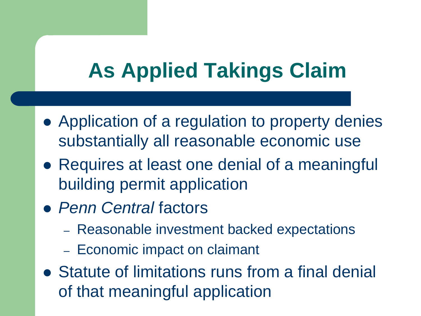# **As Applied Takings Claim**

- Application of a regulation to property denies substantially all reasonable economic use
- Requires at least one denial of a meaningful building permit application
- *Penn Central* factors
	- Reasonable investment backed expectations
	- Economic impact on claimant
- Statute of limitations runs from a final denial of that meaningful application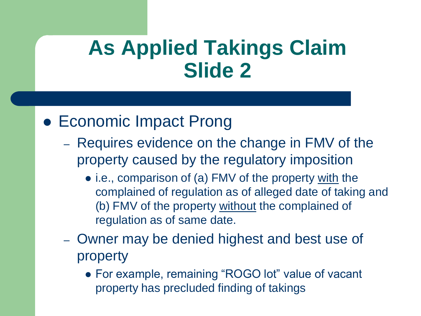#### **As Applied Takings Claim Slide 2**

#### Economic Impact Prong

- Requires evidence on the change in FMV of the property caused by the regulatory imposition
	- i.e., comparison of (a) FMV of the property with the complained of regulation as of alleged date of taking and (b) FMV of the property without the complained of regulation as of same date.
- Owner may be denied highest and best use of property
	- For example, remaining "ROGO lot" value of vacant property has precluded finding of takings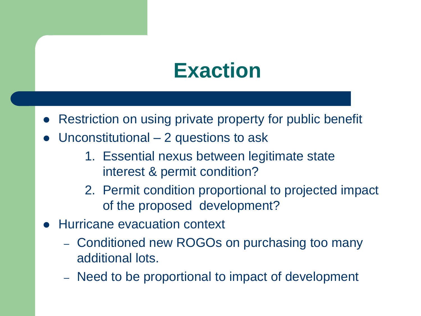### **Exaction**

- Restriction on using private property for public benefit
- Unconstitutional 2 questions to ask
	- 1. Essential nexus between legitimate state interest & permit condition?
	- 2. Permit condition proportional to projected impact of the proposed development?
- Hurricane evacuation context
	- Conditioned new ROGOs on purchasing too many additional lots.
	- Need to be proportional to impact of development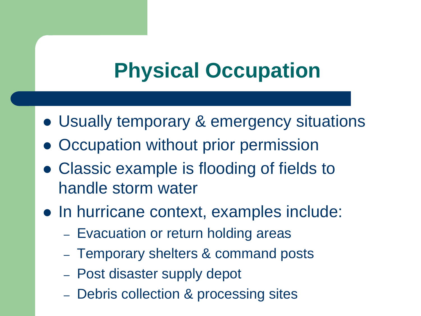# **Physical Occupation**

- Usually temporary & emergency situations
- Occupation without prior permission
- Classic example is flooding of fields to handle storm water
- In hurricane context, examples include:
	- Evacuation or return holding areas
	- Temporary shelters & command posts
	- Post disaster supply depot
	- Debris collection & processing sites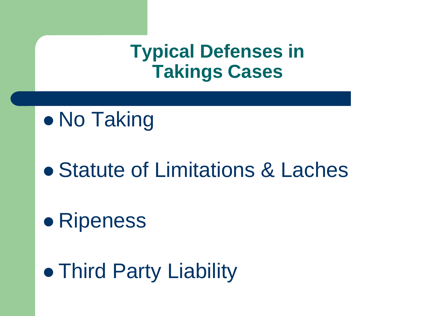#### **Typical Defenses in Takings Cases**

#### • No Taking

#### Statute of Limitations & Laches

## **• Ripeness**

# **• Third Party Liability**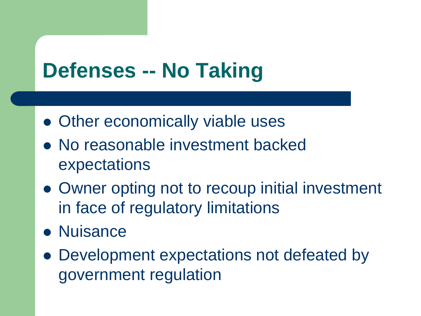## **Defenses -- No Taking**

- Other economically viable uses
- No reasonable investment backed expectations
- Owner opting not to recoup initial investment in face of regulatory limitations
- Nuisance
- Development expectations not defeated by government regulation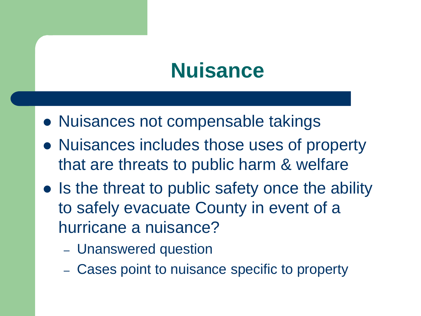## **Nuisance**

- Nuisances not compensable takings
- Nuisances includes those uses of property that are threats to public harm & welfare
- Is the threat to public safety once the ability to safely evacuate County in event of a hurricane a nuisance?
	- Unanswered question
	- Cases point to nuisance specific to property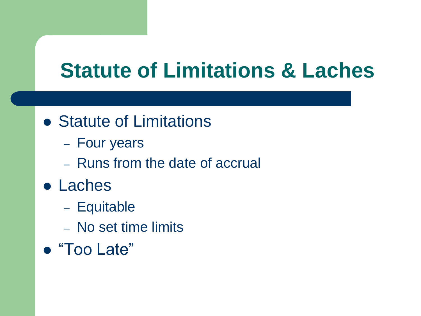## **Statute of Limitations & Laches**

- Statute of Limitations
	- Four years
	- Runs from the date of accrual
- Laches
	- Equitable
	- No set time limits
- "Too Late"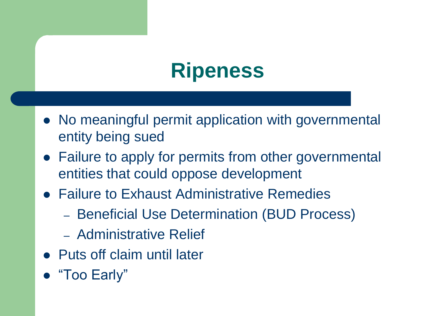## **Ripeness**

- No meaningful permit application with governmental entity being sued
- Failure to apply for permits from other governmental entities that could oppose development
- Failure to Exhaust Administrative Remedies
	- Beneficial Use Determination (BUD Process)
	- Administrative Relief
- Puts off claim until later
- "Too Early"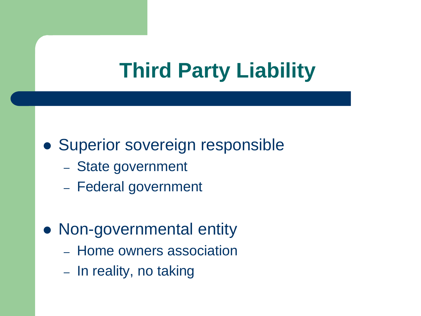## **Third Party Liability**

#### • Superior sovereign responsible

- State government
- Federal government

#### • Non-governmental entity

- Home owners association
- In reality, no taking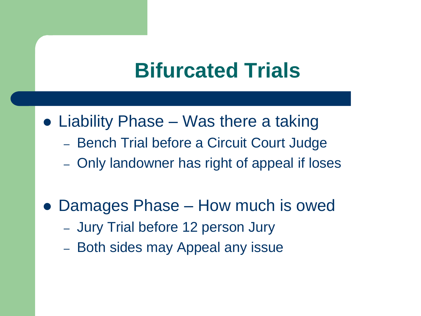#### **Bifurcated Trials**

- Liability Phase Was there a taking
	- Bench Trial before a Circuit Court Judge
	- Only landowner has right of appeal if loses
- Damages Phase How much is owed
	- Jury Trial before 12 person Jury
	- Both sides may Appeal any issue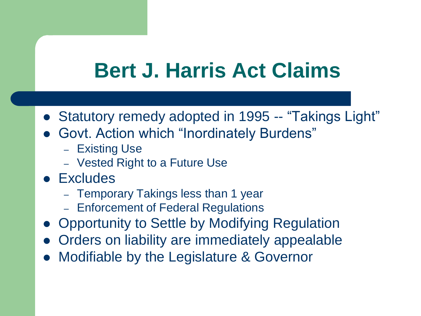## **Bert J. Harris Act Claims**

- Statutory remedy adopted in 1995 -- "Takings Light"
- Govt. Action which "Inordinately Burdens"
	- Existing Use
	- Vested Right to a Future Use
- Excludes
	- Temporary Takings less than 1 year
	- Enforcement of Federal Regulations
- Opportunity to Settle by Modifying Regulation
- Orders on liability are immediately appealable
- Modifiable by the Legislature & Governor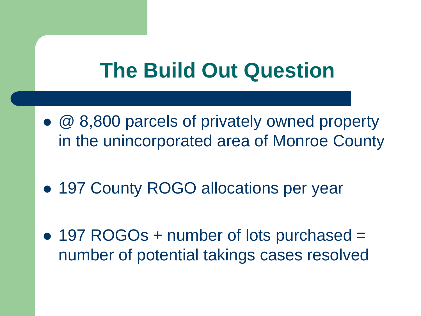## **The Build Out Question**

- @ 8,800 parcels of privately owned property in the unincorporated area of Monroe County
- 197 County ROGO allocations per year
- 197 ROGOs + number of lots purchased = number of potential takings cases resolved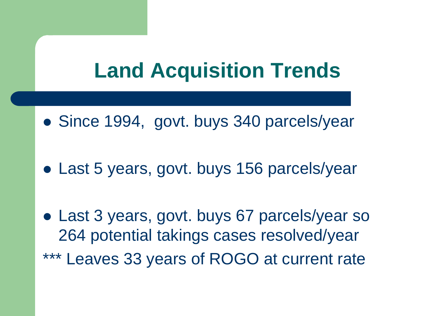## **Land Acquisition Trends**

- Since 1994, govt. buys 340 parcels/year
- Last 5 years, govt. buys 156 parcels/year
- Last 3 years, govt. buys 67 parcels/year so 264 potential takings cases resolved/year \*\*\* Leaves 33 years of ROGO at current rate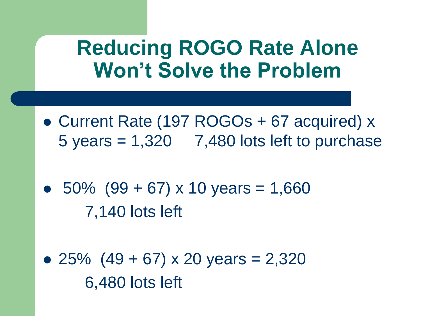#### **Reducing ROGO Rate Alone Won't Solve the Problem**

- Current Rate (197 ROGOs + 67 acquired) x  $5$  years  $= 1,320$  7,480 lots left to purchase
- $\bullet$  50% (99 + 67) x 10 years = 1,660 7,140 lots left
- 25%  $(49 + 67) \times 20$  years = 2,320 6,480 lots left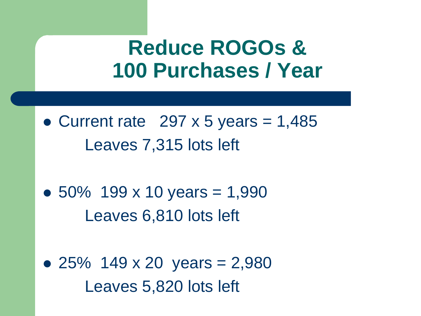#### **Reduce ROGOs & 100 Purchases / Year**

- Current rate  $297 \times 5$  years = 1,485 Leaves 7,315 lots left
- $\bullet$  50% 199 x 10 years = 1,990 Leaves 6,810 lots left
- 25% 149 x 20 years  $= 2,980$ Leaves 5,820 lots left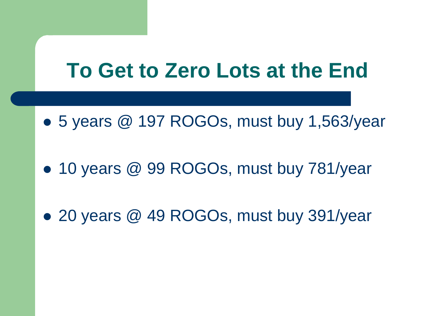### **To Get to Zero Lots at the End**

- 5 years @ 197 ROGOs, must buy 1,563/year
- 10 years @ 99 ROGOs, must buy 781/year
- 20 years @ 49 ROGOs, must buy 391/year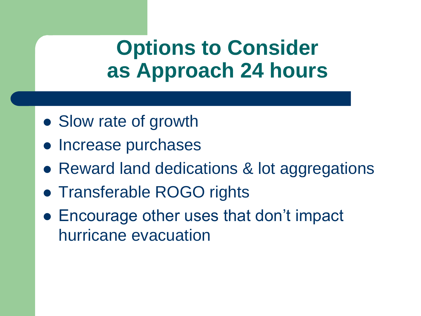#### **Options to Consider as Approach 24 hours**

- Slow rate of growth
- Increase purchases
- Reward land dedications & lot aggregations
- Transferable ROGO rights
- Encourage other uses that don't impact hurricane evacuation